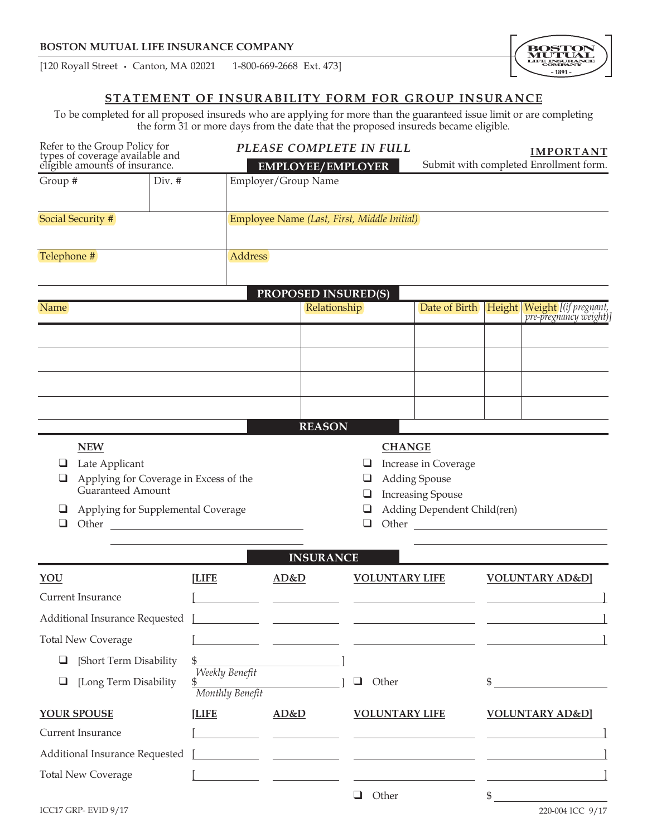[120 Royall Street • Canton, MA 02021 1-800-669-2668 Ext. 473]

# **STATEMENT OF INSURABILITY FORM FOR GROUP INSURANCE**

To be completed for all proposed insureds who are applying for more than the guaranteed issue limit or are completing the form 31 or more days from the date that the proposed insureds became eligible.

| Refer to the Group Policy for<br>types of coverage available and<br>eligible amounts of insurance.                  |                                   | PLEASE COMPLETE IN FULL<br><b>EMPLOYEE/EMPLOYER</b> |                                                                                                                                                                                                                                      |                                                                                                         | <b>IMPORTANT</b><br>Submit with completed Enrollment form. |                                            |  |  |
|---------------------------------------------------------------------------------------------------------------------|-----------------------------------|-----------------------------------------------------|--------------------------------------------------------------------------------------------------------------------------------------------------------------------------------------------------------------------------------------|---------------------------------------------------------------------------------------------------------|------------------------------------------------------------|--------------------------------------------|--|--|
| Group #<br>$Div.$ #                                                                                                 |                                   | Employer/Group Name                                 |                                                                                                                                                                                                                                      |                                                                                                         |                                                            |                                            |  |  |
| Social Security #                                                                                                   |                                   |                                                     | Employee Name (Last, First, Middle Initial)                                                                                                                                                                                          |                                                                                                         |                                                            |                                            |  |  |
| Telephone #                                                                                                         |                                   | Address                                             |                                                                                                                                                                                                                                      |                                                                                                         |                                                            |                                            |  |  |
|                                                                                                                     |                                   |                                                     | <b>PROPOSED INSURED(S)</b>                                                                                                                                                                                                           |                                                                                                         |                                                            |                                            |  |  |
| Name                                                                                                                |                                   |                                                     | Relationship                                                                                                                                                                                                                         |                                                                                                         |                                                            | Date of Birth Height Weight [(if pregnant, |  |  |
|                                                                                                                     |                                   |                                                     |                                                                                                                                                                                                                                      |                                                                                                         |                                                            |                                            |  |  |
|                                                                                                                     |                                   |                                                     |                                                                                                                                                                                                                                      |                                                                                                         |                                                            |                                            |  |  |
|                                                                                                                     |                                   |                                                     |                                                                                                                                                                                                                                      |                                                                                                         |                                                            |                                            |  |  |
|                                                                                                                     |                                   |                                                     |                                                                                                                                                                                                                                      |                                                                                                         |                                                            |                                            |  |  |
|                                                                                                                     |                                   |                                                     | <b>REASON</b>                                                                                                                                                                                                                        |                                                                                                         |                                                            |                                            |  |  |
| Late Applicant<br>Applying for Coverage in Excess of the<br>Guaranteed Amount<br>Applying for Supplemental Coverage |                                   |                                                     | ❏                                                                                                                                                                                                                                    | Increase in Coverage<br><b>Adding Spouse</b><br><b>Increasing Spouse</b><br>Adding Dependent Child(ren) |                                                            |                                            |  |  |
| YOU                                                                                                                 | <b>[LIFE</b>                      | AD&D                                                | <b>INSURANCE</b><br><b>VOLUNTARY LIFE</b>                                                                                                                                                                                            |                                                                                                         |                                                            | <b>VOLUNTARY AD&amp;D</b>                  |  |  |
| Current Insurance                                                                                                   |                                   |                                                     |                                                                                                                                                                                                                                      |                                                                                                         |                                                            |                                            |  |  |
| Additional Insurance Requested                                                                                      |                                   |                                                     |                                                                                                                                                                                                                                      |                                                                                                         |                                                            |                                            |  |  |
| <b>Total New Coverage</b>                                                                                           |                                   |                                                     |                                                                                                                                                                                                                                      |                                                                                                         |                                                            |                                            |  |  |
| [Short Term Disability<br>❏                                                                                         | \$                                |                                                     |                                                                                                                                                                                                                                      |                                                                                                         |                                                            |                                            |  |  |
| [Long Term Disability<br>⊔                                                                                          | Weekly Benefit<br>Monthly Benefit |                                                     | Other                                                                                                                                                                                                                                |                                                                                                         |                                                            |                                            |  |  |
| YOUR SPOUSE<br><b>[LIFE</b>                                                                                         |                                   | AD&D                                                | <b>VOLUNTARY LIFE</b>                                                                                                                                                                                                                |                                                                                                         | <b>VOLUNTARY AD&amp;D</b>                                  |                                            |  |  |
| Current Insurance                                                                                                   |                                   |                                                     | <u> The Common State of the Common State of the Common State of the Common State of the Common State of the Common State of the Common State of the Common State of the Common State of the Common State of the Common State of </u> |                                                                                                         |                                                            |                                            |  |  |
| Additional Insurance Requested                                                                                      |                                   |                                                     | <u> 1989 - Johann John Stone, mars et al. (1989)</u>                                                                                                                                                                                 |                                                                                                         |                                                            |                                            |  |  |
| <b>Total New Coverage</b>                                                                                           |                                   |                                                     |                                                                                                                                                                                                                                      |                                                                                                         |                                                            |                                            |  |  |
| ICC17 GRP-EVID 9/17                                                                                                 |                                   |                                                     | Other<br>⊔                                                                                                                                                                                                                           |                                                                                                         | \$                                                         | 220-004 ICC 9/17                           |  |  |

**BO**<br>ML E INSI  $-1891-$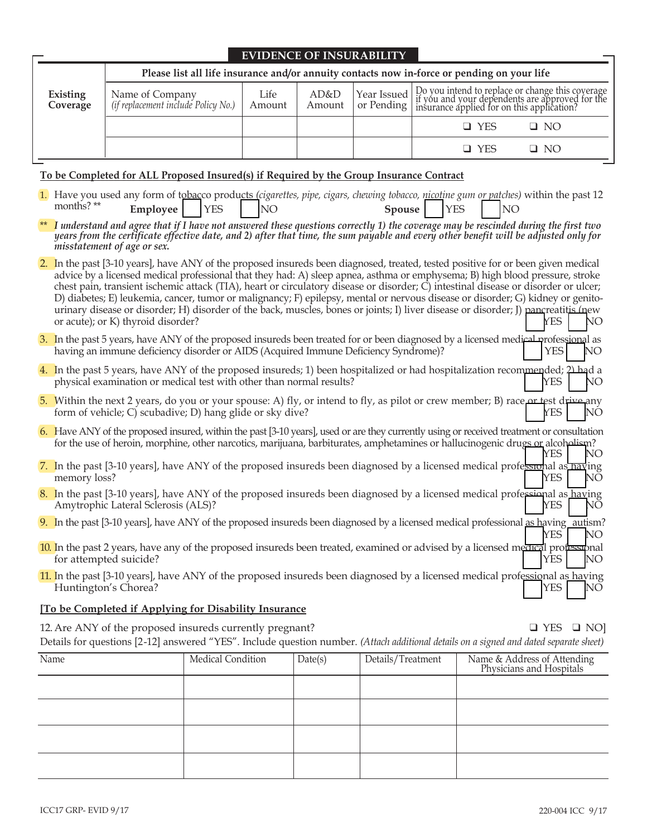| <b>EVIDENCE OF INSURABILITY</b>                                                             |                                                        |                |                |  |                                                                                                                                                                                     |           |
|---------------------------------------------------------------------------------------------|--------------------------------------------------------|----------------|----------------|--|-------------------------------------------------------------------------------------------------------------------------------------------------------------------------------------|-----------|
| Please list all life insurance and/or annuity contacts now in-force or pending on your life |                                                        |                |                |  |                                                                                                                                                                                     |           |
| Existing<br>Coverage                                                                        | Name of Company<br>(if replacement include Policy No.) | Life<br>Amount | AD&D<br>Amount |  | Year Issued Do you intend to replace or change this coverage<br>or Pending if you and your dependents are approved for the<br>or Pending insurance applied for on this application? |           |
|                                                                                             |                                                        |                |                |  | $\Box$ YES                                                                                                                                                                          | $\Box$ NO |
|                                                                                             |                                                        |                |                |  | ∃ YES                                                                                                                                                                               | $\Box$ NO |

### **To be Completed for ALL Proposed Insured(s) if Required by the Group Insurance Contract**

- 1. Have you used any form of tobacco products (cigarettes, pipe, cigars, chewing tobacco, nicotine gum or patches) within the past 12 months? \*\* months? **\*\* Employee** | YES | NO **Spouse** | YES | NO
- \*\* *I understand and agree that if I have not answered these questions correctly 1) the coverage may be rescinded during the first two years from the certificate effective date, and 2) after that time, the sum payable and every other benefit will be adjusted only for misstatement of age or sex.*
- 2. In the past [3-10 years], have ANY of the proposed insureds been diagnosed, treated, tested positive for or been given medical advice by a licensed medical professional that they had: A) sleep apnea, asthma or emphysema; B) high blood pressure, stroke chest pain, transient ischemic attack (TIA), heart or circulatory disease or disorder; C) intestinal disease or disorder or ulcer; D) diabetes; E) leukemia, cancer, tumor or malignancy; F) epilepsy, mental or nervous disease or disorder; G) kidney or genitourinary disease or disorder; H) disorder of the back, muscles, bones or joints; I) liver disease or disorder; I) pancreatitis (new or acute); or K) thyroid disorder?  $\angle$  NO
- 3. In the past 5 years, have ANY of the proposed insureds been treated for or been diagnosed by a licensed medical professional as having an immune deficiency disorder or AIDS (Acquired Immune Deficiency Syndrome)?  $|$  | YES | NO

| 4. In the past 5 years, have ANY of the proposed insureds; 1) been hospitalized or had hospitalization recommended; $2\Delta$ |        |  |
|-------------------------------------------------------------------------------------------------------------------------------|--------|--|
| physical examination or medical test with other than normal results?                                                          | YES NO |  |

- 5. Within the next 2 years, do you or your spouse: A) fly, or intend to fly, as pilot or crew member; B) race or test drive any form of vehicle; C) scubadive; D) hang glide or sky dive?  $\angle$  YES  $\angle$  NO
- 6. Have ANY of the proposed insured, within the past [3-10 years], used or are they currently using or received treatment or consultation for the use of heroin, morphine, other narcotics, marijuana, barbiturates, amphetamines or hallucinogenic drugs or alcoholism? YES | NO
- 7. In the past [3-10 years], have ANY of the proposed insureds been diagnosed by a licensed medical professional as having memory loss? NO
- 8. In the past [3-10 years], have ANY of the proposed insureds been diagnosed by a licensed medical professional as having Amytrophic Lateral Sclerosis (ALS)?  $\overline{Y}$  NO
- 9. In the past [3-10 years], have ANY of the proposed insureds been diagnosed by a licensed medical professional as having autism?
- YES NO 10. In the past 2 years, have any of the proposed insureds been treated, examined or advised by a licensed medical professional for attempted suicide? q YES q NO

11. In the past [3-10 years], have ANY of the proposed insureds been diagnosed by a licensed medical professional as having Huntington's Chorea?  $\overline{N}$  NO

### **[To be Completed if Applying for Disability Insurance**

12. Are ANY of the proposed insureds currently pregnant?  $\Box$  YES  $\Box$  NO] Details for questions [2-12] answered "YES". Include question number. *(Attach additional details on a signed and dated separate sheet)*

| Name | Medical Condition | Date(s) | Details/Treatment | Name & Address of Attending<br>Physicians and Hospitals |
|------|-------------------|---------|-------------------|---------------------------------------------------------|
|      |                   |         |                   |                                                         |
|      |                   |         |                   |                                                         |
|      |                   |         |                   |                                                         |
|      |                   |         |                   |                                                         |